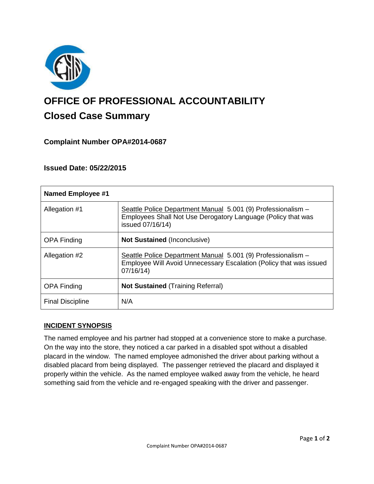

# **OFFICE OF PROFESSIONAL ACCOUNTABILITY Closed Case Summary**

## **Complaint Number OPA#2014-0687**

## **Issued Date: 05/22/2015**

| <b>Named Employee #1</b> |                                                                                                                                                  |
|--------------------------|--------------------------------------------------------------------------------------------------------------------------------------------------|
| Allegation #1            | Seattle Police Department Manual 5.001 (9) Professionalism -<br>Employees Shall Not Use Derogatory Language (Policy that was<br>issued 07/16/14) |
| <b>OPA Finding</b>       | <b>Not Sustained (Inconclusive)</b>                                                                                                              |
| Allegation #2            | Seattle Police Department Manual 5.001 (9) Professionalism -<br>Employee Will Avoid Unnecessary Escalation (Policy that was issued<br>07/16/14   |
| <b>OPA Finding</b>       | <b>Not Sustained (Training Referral)</b>                                                                                                         |
| <b>Final Discipline</b>  | N/A                                                                                                                                              |

## **INCIDENT SYNOPSIS**

The named employee and his partner had stopped at a convenience store to make a purchase. On the way into the store, they noticed a car parked in a disabled spot without a disabled placard in the window. The named employee admonished the driver about parking without a disabled placard from being displayed. The passenger retrieved the placard and displayed it properly within the vehicle. As the named employee walked away from the vehicle, he heard something said from the vehicle and re-engaged speaking with the driver and passenger.